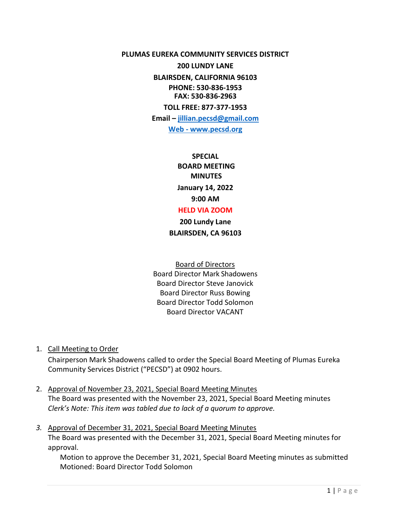**PLUMAS EUREKA COMMUNITY SERVICES DISTRICT** 

**200 LUNDY LANE** 

**BLAIRSDEN, CALIFORNIA 96103 PHONE: 530-836-1953 FAX: 530-836-2963**

**TOLL FREE: 877-377-1953 Email – [jillian.pecsd@gmail.com](mailto:jillian.pecsd@gmail.com) Web - www.pecsd.org**

> **SPECIAL BOARD MEETING MINUTES January 14, 2022 9:00 AM HELD VIA ZOOM**

**200 Lundy Lane BLAIRSDEN, CA 96103**

Board of Directors Board Director Mark Shadowens Board Director Steve Janovick Board Director Russ Bowing Board Director Todd Solomon Board Director VACANT

1. Call Meeting to Order

Chairperson Mark Shadowens called to order the Special Board Meeting of Plumas Eureka Community Services District ("PECSD") at 0902 hours.

- 2. Approval of November 23, 2021, Special Board Meeting Minutes The Board was presented with the November 23, 2021, Special Board Meeting minutes *Clerk's Note: This item was tabled due to lack of a quorum to approve.*
- *3.* Approval of December 31, 2021, Special Board Meeting Minutes The Board was presented with the December 31, 2021, Special Board Meeting minutes for approval.

Motion to approve the December 31, 2021, Special Board Meeting minutes as submitted Motioned: Board Director Todd Solomon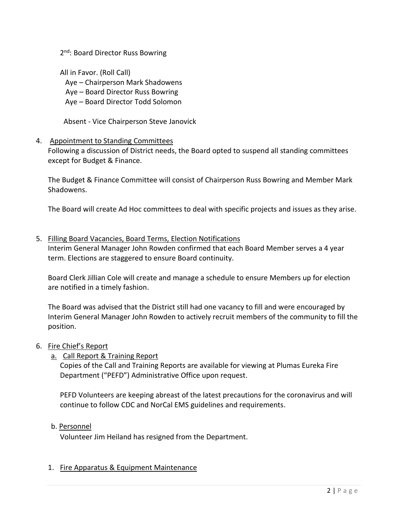2<sup>nd</sup>: Board Director Russ Bowring

All in Favor. (Roll Call) Aye – Chairperson Mark Shadowens Aye – Board Director Russ Bowring Aye – Board Director Todd Solomon

Absent - Vice Chairperson Steve Janovick

### 4. Appointment to Standing Committees

Following a discussion of District needs, the Board opted to suspend all standing committees except for Budget & Finance.

The Budget & Finance Committee will consist of Chairperson Russ Bowring and Member Mark Shadowens.

The Board will create Ad Hoc committees to deal with specific projects and issues as they arise.

5. Filling Board Vacancies, Board Terms, Election Notifications Interim General Manager John Rowden confirmed that each Board Member serves a 4 year term. Elections are staggered to ensure Board continuity.

Board Clerk Jillian Cole will create and manage a schedule to ensure Members up for election are notified in a timely fashion.

The Board was advised that the District still had one vacancy to fill and were encouraged by Interim General Manager John Rowden to actively recruit members of the community to fill the position.

#### 6. Fire Chief's Report

## a. Call Report & Training Report

Copies of the Call and Training Reports are available for viewing at Plumas Eureka Fire Department ("PEFD") Administrative Office upon request.

PEFD Volunteers are keeping abreast of the latest precautions for the coronavirus and will continue to follow CDC and NorCal EMS guidelines and requirements.

#### b. Personnel

Volunteer Jim Heiland has resigned from the Department.

## 1. Fire Apparatus & Equipment Maintenance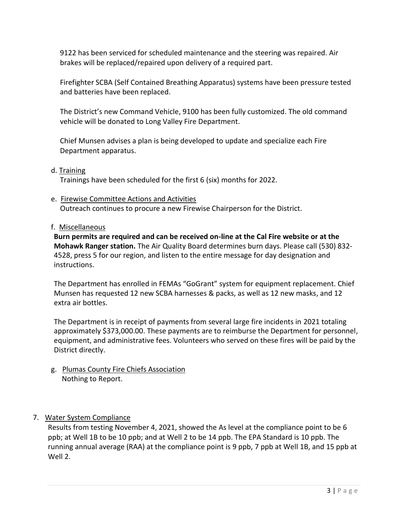9122 has been serviced for scheduled maintenance and the steering was repaired. Air brakes will be replaced/repaired upon delivery of a required part.

Firefighter SCBA (Self Contained Breathing Apparatus) systems have been pressure tested and batteries have been replaced.

The District's new Command Vehicle, 9100 has been fully customized. The old command vehicle will be donated to Long Valley Fire Department.

Chief Munsen advises a plan is being developed to update and specialize each Fire Department apparatus.

d. Training

Trainings have been scheduled for the first 6 (six) months for 2022.

- e. Firewise Committee Actions and Activities Outreach continues to procure a new Firewise Chairperson for the District.
- f. Miscellaneous

**Burn permits are required and can be received on-line at the Cal Fire website or at the Mohawk Ranger station.** The Air Quality Board determines burn days. Please call (530) 832- 4528, press 5 for our region, and listen to the entire message for day designation and instructions.

The Department has enrolled in FEMAs "GoGrant" system for equipment replacement. Chief Munsen has requested 12 new SCBA harnesses & packs, as well as 12 new masks, and 12 extra air bottles.

The Department is in receipt of payments from several large fire incidents in 2021 totaling approximately \$373,000.00. These payments are to reimburse the Department for personnel, equipment, and administrative fees. Volunteers who served on these fires will be paid by the District directly.

g. Plumas County Fire Chiefs Association Nothing to Report.

## 7. Water System Compliance

Results from testing November 4, 2021, showed the As level at the compliance point to be 6 ppb; at Well 1B to be 10 ppb; and at Well 2 to be 14 ppb. The EPA Standard is 10 ppb. The running annual average (RAA) at the compliance point is 9 ppb, 7 ppb at Well 1B, and 15 ppb at Well 2.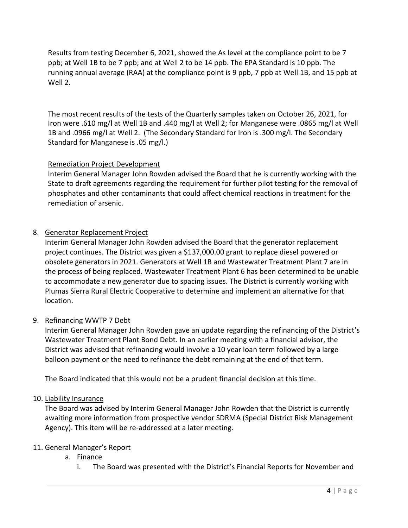Results from testing December 6, 2021, showed the As level at the compliance point to be 7 ppb; at Well 1B to be 7 ppb; and at Well 2 to be 14 ppb. The EPA Standard is 10 ppb. The running annual average (RAA) at the compliance point is 9 ppb, 7 ppb at Well 1B, and 15 ppb at Well 2.

The most recent results of the tests of the Quarterly samples taken on October 26, 2021, for Iron were .610 mg/l at Well 1B and .440 mg/l at Well 2; for Manganese were .0865 mg/l at Well 1B and .0966 mg/l at Well 2. (The Secondary Standard for Iron is .300 mg/l. The Secondary Standard for Manganese is .05 mg/l.)

## Remediation Project Development

Interim General Manager John Rowden advised the Board that he is currently working with the State to draft agreements regarding the requirement for further pilot testing for the removal of phosphates and other contaminants that could affect chemical reactions in treatment for the remediation of arsenic.

# 8. Generator Replacement Project

Interim General Manager John Rowden advised the Board that the generator replacement project continues. The District was given a \$137,000.00 grant to replace diesel powered or obsolete generators in 2021. Generators at Well 1B and Wastewater Treatment Plant 7 are in the process of being replaced. Wastewater Treatment Plant 6 has been determined to be unable to accommodate a new generator due to spacing issues. The District is currently working with Plumas Sierra Rural Electric Cooperative to determine and implement an alternative for that location.

## 9. Refinancing WWTP 7 Debt

Interim General Manager John Rowden gave an update regarding the refinancing of the District's Wastewater Treatment Plant Bond Debt. In an earlier meeting with a financial advisor, the District was advised that refinancing would involve a 10 year loan term followed by a large balloon payment or the need to refinance the debt remaining at the end of that term.

The Board indicated that this would not be a prudent financial decision at this time.

## 10. Liability Insurance

The Board was advised by Interim General Manager John Rowden that the District is currently awaiting more information from prospective vendor SDRMA (Special District Risk Management Agency). This item will be re-addressed at a later meeting.

## 11. General Manager's Report

- a. Finance
	- i. The Board was presented with the District's Financial Reports for November and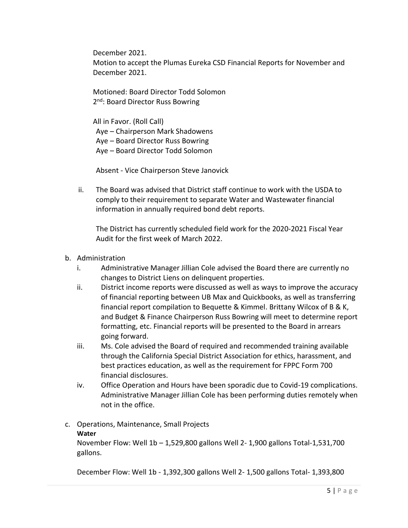December 2021. Motion to accept the Plumas Eureka CSD Financial Reports for November and December 2021.

Motioned: Board Director Todd Solomon 2<sup>nd</sup>: Board Director Russ Bowring

All in Favor. (Roll Call) Aye – Chairperson Mark Shadowens Aye – Board Director Russ Bowring Aye – Board Director Todd Solomon

Absent - Vice Chairperson Steve Janovick

ii. The Board was advised that District staff continue to work with the USDA to comply to their requirement to separate Water and Wastewater financial information in annually required bond debt reports.

The District has currently scheduled field work for the 2020-2021 Fiscal Year Audit for the first week of March 2022.

- b. Administration
	- i. Administrative Manager Jillian Cole advised the Board there are currently no changes to District Liens on delinquent properties.
	- ii. District income reports were discussed as well as ways to improve the accuracy of financial reporting between UB Max and Quickbooks, as well as transferring financial report compilation to Bequette & Kimmel. Brittany Wilcox of B & K, and Budget & Finance Chairperson Russ Bowring will meet to determine report formatting, etc. Financial reports will be presented to the Board in arrears going forward.
	- iii. Ms. Cole advised the Board of required and recommended training available through the California Special District Association for ethics, harassment, and best practices education, as well as the requirement for FPPC Form 700 financial disclosures.
	- iv. Office Operation and Hours have been sporadic due to Covid-19 complications. Administrative Manager Jillian Cole has been performing duties remotely when not in the office.

#### c. Operations, Maintenance, Small Projects **Water** November Flow: Well 1b – 1,529,800 gallons Well 2- 1,900 gallons Total-1,531,700

gallons.

December Flow: Well 1b - 1,392,300 gallons Well 2- 1,500 gallons Total- 1,393,800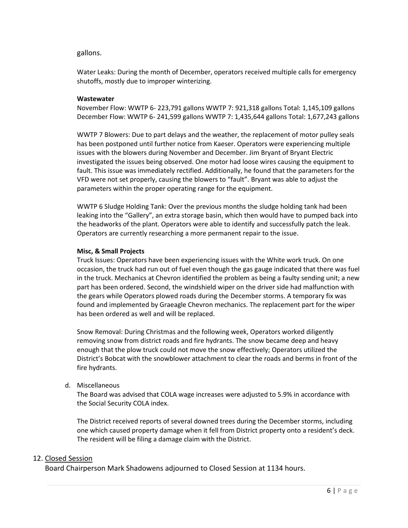#### gallons.

Water Leaks: During the month of December, operators received multiple calls for emergency shutoffs, mostly due to improper winterizing.

#### **Wastewater**

November Flow: WWTP 6- 223,791 gallons WWTP 7: 921,318 gallons Total: 1,145,109 gallons December Flow: WWTP 6- 241,599 gallons WWTP 7: 1,435,644 gallons Total: 1,677,243 gallons

WWTP 7 Blowers: Due to part delays and the weather, the replacement of motor pulley seals has been postponed until further notice from Kaeser. Operators were experiencing multiple issues with the blowers during November and December. Jim Bryant of Bryant Electric investigated the issues being observed. One motor had loose wires causing the equipment to fault. This issue was immediately rectified. Additionally, he found that the parameters for the VFD were not set properly, causing the blowers to "fault". Bryant was able to adjust the parameters within the proper operating range for the equipment.

WWTP 6 Sludge Holding Tank: Over the previous months the sludge holding tank had been leaking into the "Gallery", an extra storage basin, which then would have to pumped back into the headworks of the plant. Operators were able to identify and successfully patch the leak. Operators are currently researching a more permanent repair to the issue.

#### **Misc, & Small Projects**

Truck Issues: Operators have been experiencing issues with the White work truck. On one occasion, the truck had run out of fuel even though the gas gauge indicated that there was fuel in the truck. Mechanics at Chevron identified the problem as being a faulty sending unit; a new part has been ordered. Second, the windshield wiper on the driver side had malfunction with the gears while Operators plowed roads during the December storms. A temporary fix was found and implemented by Graeagle Chevron mechanics. The replacement part for the wiper has been ordered as well and will be replaced.

Snow Removal: During Christmas and the following week, Operators worked diligently removing snow from district roads and fire hydrants. The snow became deep and heavy enough that the plow truck could not move the snow effectively; Operators utilized the District's Bobcat with the snowblower attachment to clear the roads and berms in front of the fire hydrants.

d. Miscellaneous

The Board was advised that COLA wage increases were adjusted to 5.9% in accordance with the Social Security COLA index.

The District received reports of several downed trees during the December storms, including one which caused property damage when it fell from District property onto a resident's deck. The resident will be filing a damage claim with the District.

#### 12. Closed Session

Board Chairperson Mark Shadowens adjourned to Closed Session at 1134 hours.